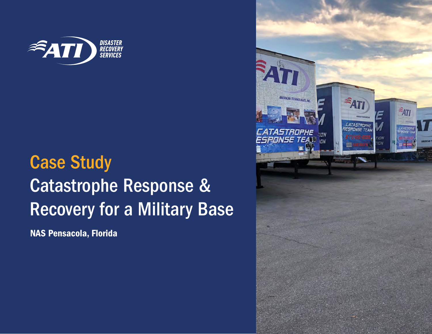

## Case Study Catastrophe Response & Recovery for a Military Base

NAS Pensacola, Florida

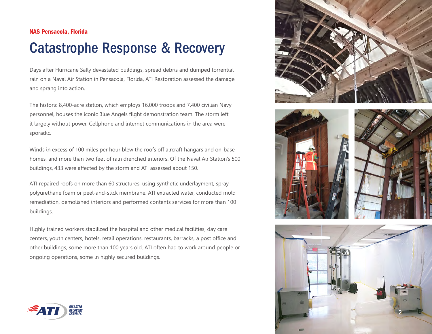## NAS Pensacola, Florida

## Catastrophe Response & Recovery

Days after Hurricane Sally devastated buildings, spread debris and dumped torrential rain on a Naval Air Station in Pensacola, Florida, ATI Restoration assessed the damage and sprang into action.

The historic 8,400-acre station, which employs 16,000 troops and 7,400 civilian Navy personnel, houses the iconic Blue Angels flight demonstration team. The storm left it largely without power. Cellphone and internet communications in the area were sporadic.

Winds in excess of 100 miles per hour blew the roofs off aircraft hangars and on-base homes, and more than two feet of rain drenched interiors. Of the Naval Air Station's 500 buildings, 433 were affected by the storm and ATI assessed about 150.

ATI repaired roofs on more than 60 structures, using synthetic underlayment, spray polyurethane foam or peel-and-stick membrane. ATI extracted water, conducted mold remediation, demolished interiors and performed contents services for more than 100 buildings.

Highly trained workers stabilized the hospital and other medical facilities, day care centers, youth centers, hotels, retail operations, restaurants, barracks, a post office and other buildings, some more than 100 years old. ATI often had to work around people or ongoing operations, some in highly secured buildings.









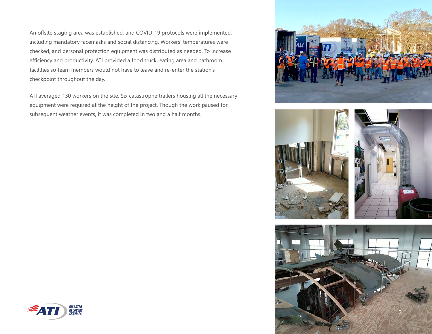An offsite staging area was established, and COVID-19 protocols were implemented, including mandatory facemasks and social distancing. Workers' temperatures were checked, and personal protection equipment was distributed as needed. To increase efficiency and productivity, ATI provided a food truck, eating area and bathroom facilities so team members would not have to leave and re-enter the station's checkpoint throughout the day.

ATI averaged 130 workers on the site. Six catastrophe trailers housing all the necessary equipment were required at the height of the project. Though the work paused for subsequent weather events, it was completed in two and a half months.